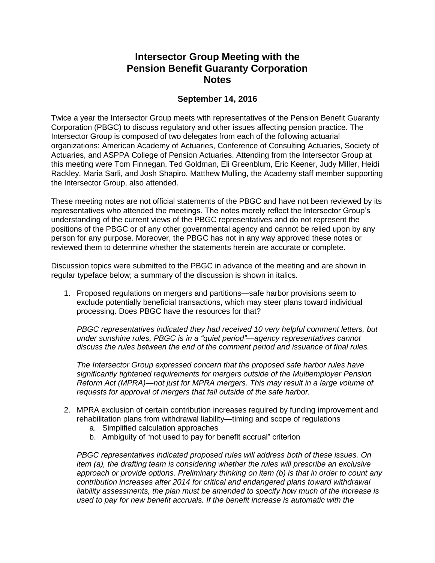## **Intersector Group Meeting with the Pension Benefit Guaranty Corporation Notes**

## **September 14, 2016**

Twice a year the Intersector Group meets with representatives of the Pension Benefit Guaranty Corporation (PBGC) to discuss regulatory and other issues affecting pension practice. The Intersector Group is composed of two delegates from each of the following actuarial organizations: American Academy of Actuaries, Conference of Consulting Actuaries, Society of Actuaries, and ASPPA College of Pension Actuaries. Attending from the Intersector Group at this meeting were Tom Finnegan, Ted Goldman, Eli Greenblum, Eric Keener, Judy Miller, Heidi Rackley, Maria Sarli, and Josh Shapiro. Matthew Mulling, the Academy staff member supporting the Intersector Group, also attended.

These meeting notes are not official statements of the PBGC and have not been reviewed by its representatives who attended the meetings. The notes merely reflect the Intersector Group's understanding of the current views of the PBGC representatives and do not represent the positions of the PBGC or of any other governmental agency and cannot be relied upon by any person for any purpose. Moreover, the PBGC has not in any way approved these notes or reviewed them to determine whether the statements herein are accurate or complete.

Discussion topics were submitted to the PBGC in advance of the meeting and are shown in regular typeface below; a summary of the discussion is shown in italics.

1. Proposed regulations on mergers and partitions—safe harbor provisions seem to exclude potentially beneficial transactions, which may steer plans toward individual processing. Does PBGC have the resources for that?

*PBGC representatives indicated they had received 10 very helpful comment letters, but under sunshine rules, PBGC is in a "quiet period"—agency representatives cannot discuss the rules between the end of the comment period and issuance of final rules.*

*The Intersector Group expressed concern that the proposed safe harbor rules have significantly tightened requirements for mergers outside of the Multiemployer Pension Reform Act (MPRA)—not just for MPRA mergers. This may result in a large volume of requests for approval of mergers that fall outside of the safe harbor.*

- 2. MPRA exclusion of certain contribution increases required by funding improvement and rehabilitation plans from withdrawal liability—timing and scope of regulations
	- a. Simplified calculation approaches
	- b. Ambiguity of "not used to pay for benefit accrual" criterion

*PBGC representatives indicated proposed rules will address both of these issues. On item (a), the drafting team is considering whether the rules will prescribe an exclusive approach or provide options. Preliminary thinking on item (b) is that in order to count any contribution increases after 2014 for critical and endangered plans toward withdrawal liability assessments, the plan must be amended to specify how much of the increase is used to pay for new benefit accruals. If the benefit increase is automatic with the*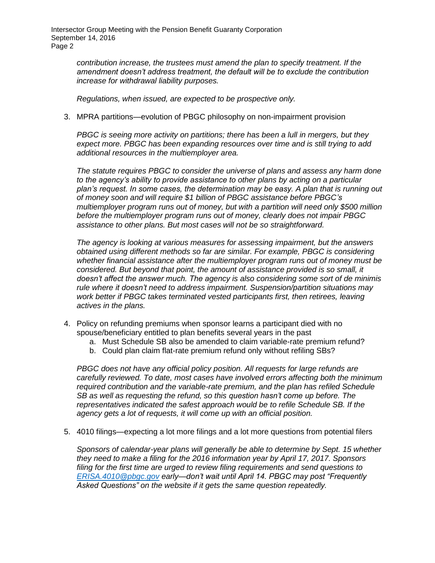Intersector Group Meeting with the Pension Benefit Guaranty Corporation September 14, 2016 Page 2

> *contribution increase, the trustees must amend the plan to specify treatment. If the amendment doesn't address treatment, the default will be to exclude the contribution increase for withdrawal liability purposes.*

*Regulations, when issued, are expected to be prospective only.*

3. MPRA partitions—evolution of PBGC philosophy on non-impairment provision

*PBGC is seeing more activity on partitions; there has been a lull in mergers, but they expect more. PBGC has been expanding resources over time and is still trying to add additional resources in the multiemployer area.* 

*The statute requires PBGC to consider the universe of plans and assess any harm done to the agency's ability to provide assistance to other plans by acting on a particular plan's request. In some cases, the determination may be easy. A plan that is running out of money soon and will require \$1 billion of PBGC assistance before PBGC's multiemployer program runs out of money, but with a partition will need only \$500 million before the multiemployer program runs out of money, clearly does not impair PBGC assistance to other plans. But most cases will not be so straightforward.*

*The agency is looking at various measures for assessing impairment, but the answers obtained using different methods so far are similar. For example, PBGC is considering whether financial assistance after the multiemployer program runs out of money must be considered. But beyond that point, the amount of assistance provided is so small, it doesn't affect the answer much. The agency is also considering some sort of de minimis rule where it doesn't need to address impairment. Suspension/partition situations may work better if PBGC takes terminated vested participants first, then retirees, leaving actives in the plans.*

- 4. Policy on refunding premiums when sponsor learns a participant died with no spouse/beneficiary entitled to plan benefits several years in the past
	- a. Must Schedule SB also be amended to claim variable-rate premium refund?
	- b. Could plan claim flat-rate premium refund only without refiling SBs?

*PBGC does not have any official policy position. All requests for large refunds are carefully reviewed. To date, most cases have involved errors affecting both the minimum required contribution and the variable-rate premium, and the plan has refiled Schedule SB as well as requesting the refund, so this question hasn't come up before. The representatives indicated the safest approach would be to refile Schedule SB. If the agency gets a lot of requests, it will come up with an official position.*

5. 4010 filings—expecting a lot more filings and a lot more questions from potential filers

*Sponsors of calendar-year plans will generally be able to determine by Sept. 15 whether they need to make a filing for the 2016 information year by April 17, 2017. Sponsors filing for the first time are urged to review filing requirements and send questions to [ERISA.4010@pbgc.gov](mailto:ERISA.4010@pbgc.gov) early—don't wait until April 14. PBGC may post "Frequently Asked Questions" on the website if it gets the same question repeatedly.*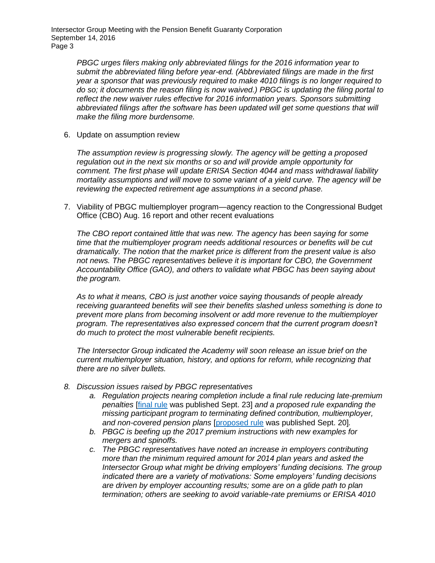Intersector Group Meeting with the Pension Benefit Guaranty Corporation September 14, 2016 Page 3

> *PBGC urges filers making only abbreviated filings for the 2016 information year to submit the abbreviated filing before year-end. (Abbreviated filings are made in the first year a sponsor that was previously required to make 4010 filings is no longer required to do so; it documents the reason filing is now waived.) PBGC is updating the filing portal to reflect the new waiver rules effective for 2016 information years. Sponsors submitting abbreviated filings after the software has been updated will get some questions that will make the filing more burdensome.*

6. Update on assumption review

*The assumption review is progressing slowly. The agency will be getting a proposed regulation out in the next six months or so and will provide ample opportunity for comment. The first phase will update ERISA Section 4044 and mass withdrawal liability mortality assumptions and will move to some variant of a yield curve. The agency will be reviewing the expected retirement age assumptions in a second phase.*

7. Viability of PBGC multiemployer program—agency reaction to the Congressional Budget Office (CBO) Aug. 16 report and other recent evaluations

*The CBO report contained little that was new. The agency has been saying for some time that the multiemployer program needs additional resources or benefits will be cut dramatically. The notion that the market price is different from the present value is also not news. The PBGC representatives believe it is important for CBO, the Government Accountability Office (GAO), and others to validate what PBGC has been saying about the program.*

*As to what it means, CBO is just another voice saying thousands of people already receiving guaranteed benefits will see their benefits slashed unless something is done to prevent more plans from becoming insolvent or add more revenue to the multiemployer program. The representatives also expressed concern that the current program doesn't do much to protect the most vulnerable benefit recipients.* 

*The Intersector Group indicated the Academy will soon release an issue brief on the current multiemployer situation, history, and options for reform, while recognizing that there are no silver bullets.*

- *8. Discussion issues raised by PBGC representatives*
	- *a. Regulation projects nearing completion include a final rule reducing late-premium penalties* [\[final rule](https://www.gpo.gov/fdsys/pkg/FR-2016-09-23/pdf/2016-22901.pdf) was published Sept. 23] *and a proposed rule expanding the missing participant program to terminating defined contribution, multiemployer, and non-covered pension plans* [\[proposed rule](https://www.gpo.gov/fdsys/pkg/FR-2016-09-20/pdf/2016-22278.pdf) was published Sept. 20]*.*
	- *b. PBGC is beefing up the 2017 premium instructions with new examples for mergers and spinoffs.*
	- *c. The PBGC representatives have noted an increase in employers contributing more than the minimum required amount for 2014 plan years and asked the Intersector Group what might be driving employers' funding decisions. The group indicated there are a variety of motivations: Some employers' funding decisions are driven by employer accounting results; some are on a glide path to plan termination; others are seeking to avoid variable-rate premiums or ERISA 4010*